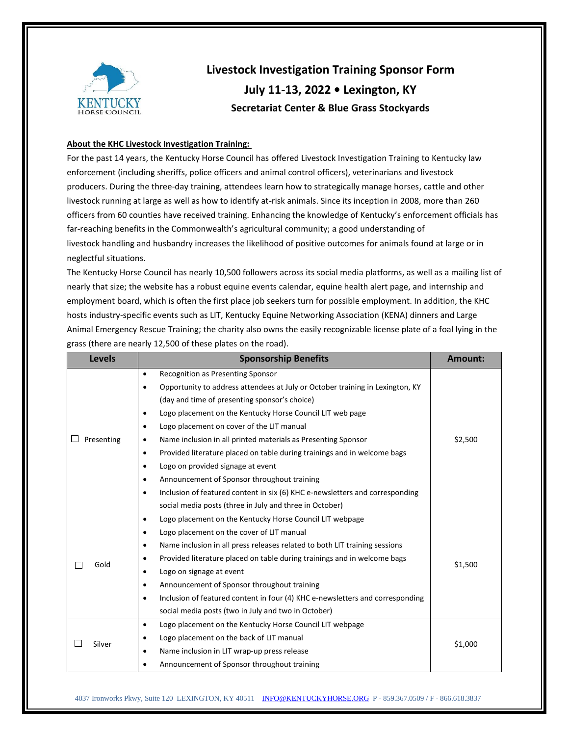

## **Livestock Investigation Training Sponsor Form July 11-13, 2022 • Lexington, KY Secretariat Center & Blue Grass Stockyards**

## **About the KHC Livestock Investigation Training:**

For the past 14 years, the Kentucky Horse Council has offered Livestock Investigation Training to Kentucky law enforcement (including sheriffs, police officers and animal control officers), veterinarians and livestock producers. During the three-day training, attendees learn how to strategically manage horses, cattle and other livestock running at large as well as how to identify at-risk animals. Since its inception in 2008, more than 260 officers from 60 counties have received training. Enhancing the knowledge of Kentucky's enforcement officials has far-reaching benefits in the Commonwealth's agricultural community; a good understanding of livestock handling and husbandry increases the likelihood of positive outcomes for animals found at large or in neglectful situations.

The Kentucky Horse Council has nearly 10,500 followers across its social media platforms, as well as a mailing list of nearly that size; the website has a robust equine events calendar, equine health alert page, and internship and employment board, which is often the first place job seekers turn for possible employment. In addition, the KHC hosts industry-specific events such as LIT, Kentucky Equine Networking Association (KENA) dinners and Large Animal Emergency Rescue Training; the charity also owns the easily recognizable license plate of a foal lying in the grass (there are nearly 12,500 of these plates on the road).

| <b>Levels</b> | <b>Sponsorship Benefits</b>                                                                | Amount: |  |  |
|---------------|--------------------------------------------------------------------------------------------|---------|--|--|
| Presenting    | <b>Recognition as Presenting Sponsor</b><br>$\bullet$                                      |         |  |  |
|               | Opportunity to address attendees at July or October training in Lexington, KY<br>$\bullet$ |         |  |  |
|               | (day and time of presenting sponsor's choice)                                              |         |  |  |
|               | Logo placement on the Kentucky Horse Council LIT web page<br>$\bullet$                     | \$2,500 |  |  |
|               | Logo placement on cover of the LIT manual<br>٠                                             |         |  |  |
|               | Name inclusion in all printed materials as Presenting Sponsor<br>٠                         |         |  |  |
|               | Provided literature placed on table during trainings and in welcome bags<br>$\bullet$      |         |  |  |
|               | Logo on provided signage at event<br>$\bullet$                                             |         |  |  |
|               | Announcement of Sponsor throughout training<br>$\bullet$                                   |         |  |  |
|               | Inclusion of featured content in six (6) KHC e-newsletters and corresponding<br>$\bullet$  |         |  |  |
|               | social media posts (three in July and three in October)                                    |         |  |  |
|               | Logo placement on the Kentucky Horse Council LIT webpage<br>$\bullet$                      |         |  |  |
| Gold          | Logo placement on the cover of LIT manual<br>$\bullet$                                     |         |  |  |
|               | Name inclusion in all press releases related to both LIT training sessions<br>$\bullet$    |         |  |  |
|               | Provided literature placed on table during trainings and in welcome bags<br>٠              | \$1,500 |  |  |
|               | Logo on signage at event<br>$\bullet$                                                      |         |  |  |
|               | Announcement of Sponsor throughout training<br>$\bullet$                                   |         |  |  |
|               | Inclusion of featured content in four (4) KHC e-newsletters and corresponding<br>$\bullet$ |         |  |  |
|               | social media posts (two in July and two in October)                                        |         |  |  |
|               | Logo placement on the Kentucky Horse Council LIT webpage<br>$\bullet$                      |         |  |  |
| Silver        | Logo placement on the back of LIT manual<br>$\bullet$                                      | \$1,000 |  |  |
|               | Name inclusion in LIT wrap-up press release<br>$\bullet$                                   |         |  |  |
|               | Announcement of Sponsor throughout training<br>$\bullet$                                   |         |  |  |